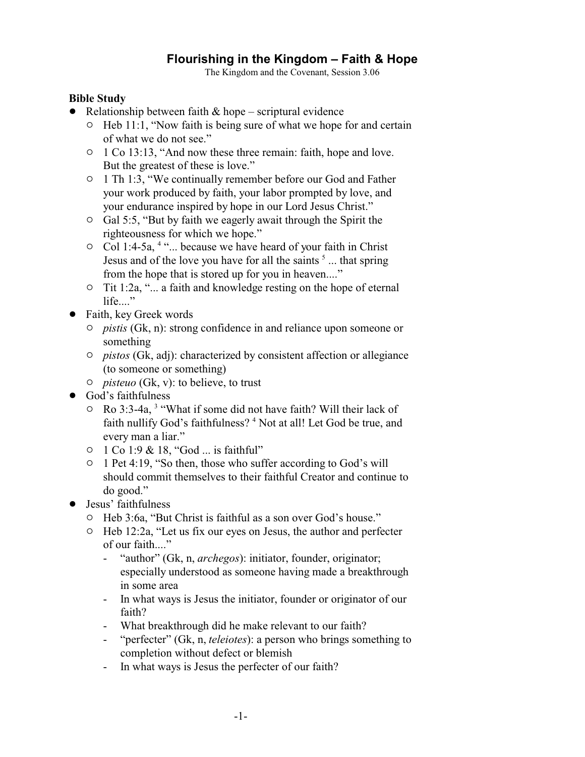## **Flourishing in the Kingdom – Faith & Hope**

The Kingdom and the Covenant, Session 3.06

## **Bible Study**

- Relationship between faith  $& hope scriptural evidence$ 
	- $\circ$  Heb 11:1, "Now faith is being sure of what we hope for and certain of what we do not see."
	- $\circ$  1 Co 13:13, "And now these three remain: faith, hope and love. But the greatest of these is love."
	- <sup>o</sup> 1 Th 1:3, "We continually remember before our God and Father your work produced by faith, your labor prompted by love, and your endurance inspired by hope in our Lord Jesus Christ."
	- $\circ$  Gal 5:5, "But by faith we eagerly await through the Spirit the righteousness for which we hope."
	- $\circ$  Col 1:4-5a, <sup>4 ".</sup>... because we have heard of your faith in Christ Jesus and of the love you have for all the saints  $<sup>5</sup>$  ... that spring</sup> from the hope that is stored up for you in heaven...."
	- $\circ$  Tit 1:2a, "... a faith and knowledge resting on the hope of eternal  $life...$ "
- Faith, key Greek words
	- " *pistis* (Gk, n): strong confidence in and reliance upon someone or something
	- " *pistos* (Gk, adj): characterized by consistent affection or allegiance (to someone or something)
	- " *pisteuo* (Gk, v): to believe, to trust
- God's faithfulness
	- $\circ$  Ro 3:3-4a, <sup>3</sup> "What if some did not have faith? Will their lack of faith nullify God's faithfulness?<sup>4</sup> Not at all! Let God be true, and every man a liar."
	- 0 1 Co 1:9 & 18, "God ... is faithful"
	- $\circ$  1 Pet 4:19, "So then, those who suffer according to God's will should commit themselves to their faithful Creator and continue to do good."
- Jesus' faithfulness
	- " Heb 3:6a, "But Christ is faithful as a son over God's house."
	- $\circ$  Heb 12:2a, "Let us fix our eyes on Jesus, the author and perfecter of our faith...."
		- "author" (Gk, n, *archegos*): initiator, founder, originator; especially understood as someone having made a breakthrough in some area
		- In what ways is Jesus the initiator, founder or originator of our faith?
		- What breakthrough did he make relevant to our faith?
		- "perfecter" (Gk, n, *teleiotes*): a person who brings something to completion without defect or blemish
		- In what ways is Jesus the perfecter of our faith?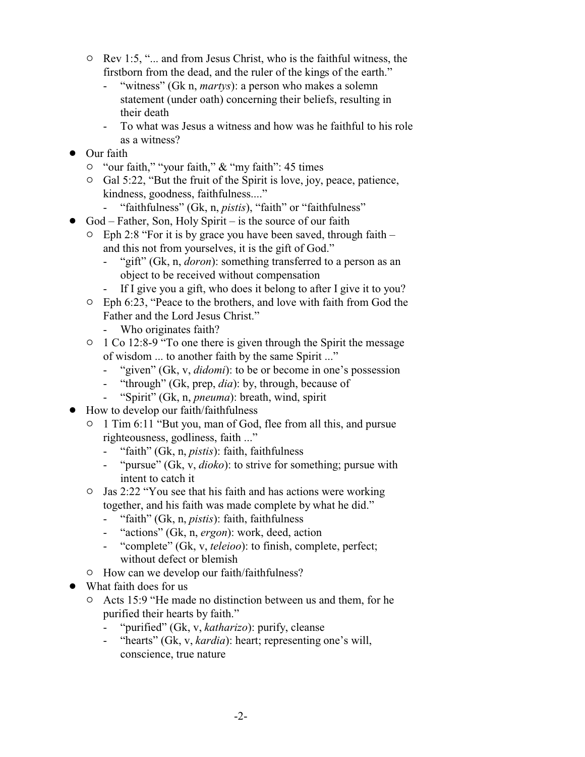- $\circ$  Rev 1:5, "... and from Jesus Christ, who is the faithful witness, the firstborn from the dead, and the ruler of the kings of the earth."
	- "witness" (Gk n, *martys*): a person who makes a solemn statement (under oath) concerning their beliefs, resulting in their death
	- To what was Jesus a witness and how was he faithful to his role as a witness?
- **Our faith** 
	- <sup>o</sup> "our faith," "your faith," & "my faith": 45 times
	- <sup>o</sup> Gal 5:22, "But the fruit of the Spirit is love, joy, peace, patience, kindness, goodness, faithfulness...."
		- "faithfulness" (Gk, n, *pistis*), "faith" or "faithfulness"
- $\bullet$  God Father, Son, Holy Spirit is the source of our faith
	- $\degree$  Eph 2:8 "For it is by grace you have been saved, through faith and this not from yourselves, it is the gift of God."
		- "gift" (Gk, n, *doron*): something transferred to a person as an object to be received without compensation
		- If I give you a gift, who does it belong to after I give it to you?
	- $\circ$  Eph 6:23, "Peace to the brothers, and love with faith from God the Father and the Lord Jesus Christ."
		- Who originates faith?
	- <sup>o</sup> 1 Co 12:8-9 "To one there is given through the Spirit the message of wisdom ... to another faith by the same Spirit ..."
		- "given" (Gk, v, *didomi*): to be or become in one's possession
		- "through" (Gk, prep, *dia*): by, through, because of
		- "Spirit" (Gk, n, *pneuma*): breath, wind, spirit
- How to develop our faith/faithfulness
	- $\circ$  1 Tim 6:11 "But you, man of God, flee from all this, and pursue righteousness, godliness, faith ..."
		- "faith" (Gk, n, *pistis*): faith, faithfulness
		- "pursue" (Gk, v, *dioko*): to strive for something; pursue with intent to catch it
	- <sup>o</sup> Jas 2:22 "You see that his faith and has actions were working together, and his faith was made complete by what he did."
		- "faith" (Gk, n, *pistis*): faith, faithfulness
		- "actions" (Gk, n, *ergon*): work, deed, action
		- "complete" (Gk, v, *teleioo*): to finish, complete, perfect; without defect or blemish
	- $\circ$  How can we develop our faith/faithfulness?
- What faith does for us
	- " Acts 15:9 "He made no distinction between us and them, for he purified their hearts by faith."
		- "purified" (Gk, v, *katharizo*): purify, cleanse
		- "hearts" (Gk, v, *kardia*): heart; representing one's will, conscience, true nature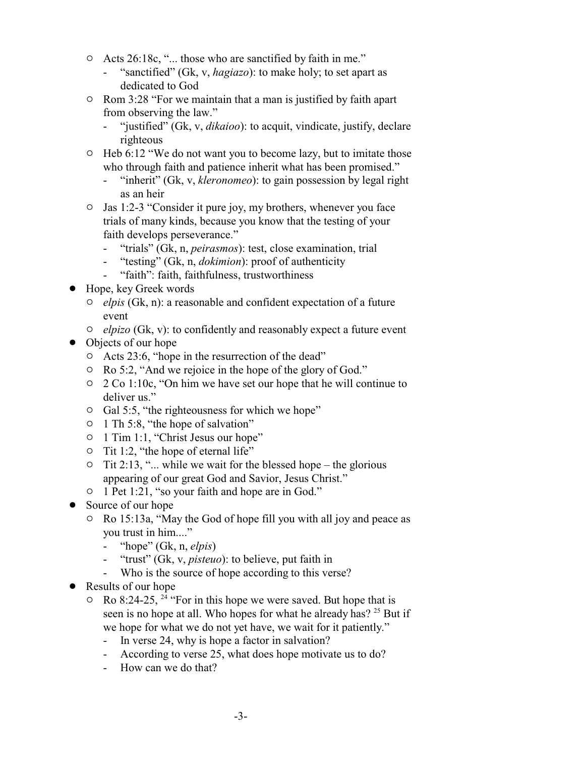- " Acts 26:18c, "... those who are sanctified by faith in me."
	- "sanctified" (Gk, v, *hagiazo*): to make holy; to set apart as dedicated to God
- $\circ$  Rom 3:28 "For we maintain that a man is justified by faith apart from observing the law."
	- "justified" (Gk, v, *dikaioo*): to acquit, vindicate, justify, declare righteous
- $\circ$  Heb 6:12 "We do not want you to become lazy, but to imitate those who through faith and patience inherit what has been promised."
	- "inherit" (Gk, v, *kleronomeo*): to gain possession by legal right as an heir
- $\circ$  Jas 1:2-3 "Consider it pure joy, my brothers, whenever you face trials of many kinds, because you know that the testing of your faith develops perseverance."
	- "trials" (Gk, n, *peirasmos*): test, close examination, trial
	- "testing" (Gk, n, *dokimion*): proof of authenticity
	- "faith": faith, faithfulness, trustworthiness
- Hope, key Greek words
	- " *elpis* (Gk, n): a reasonable and confident expectation of a future event
	- " *elpizo* (Gk, v): to confidently and reasonably expect a future event
- Objects of our hope
	- $\circ$  Acts 23:6, "hope in the resurrection of the dead"
	- " Ro 5:2, "And we rejoice in the hope of the glory of God."
	- " 2 Co 1:10c, "On him we have set our hope that he will continue to deliver us."
	- $\circ$  Gal 5:5, "the righteousness for which we hope"
	- $\circ$  1 Th 5:8, "the hope of salvation"
	- <sup>o</sup> 1 Tim 1:1, "Christ Jesus our hope"
	- $\circ$  Tit 1:2, "the hope of eternal life"
	- $\circ$  Tit 2:13, "... while we wait for the blessed hope the glorious appearing of our great God and Savior, Jesus Christ."
	- $\circ$  1 Pet 1:21, "so your faith and hope are in God."
- Source of our hope
	- $\degree$  Ro 15:13a, "May the God of hope fill you with all joy and peace as you trust in him...."
		- "hope" (Gk, n, *elpis*)
		- "trust" (Gk, v, *pisteuo*): to believe, put faith in
		- Who is the source of hope according to this verse?
- Results of our hope
	- $\circ$  Ro 8:24-25, <sup>24</sup> "For in this hope we were saved. But hope that is seen is no hope at all. Who hopes for what he already has? <sup>25</sup> But if we hope for what we do not yet have, we wait for it patiently."
		- In verse 24, why is hope a factor in salvation?
		- According to verse 25, what does hope motivate us to do?
		- How can we do that?